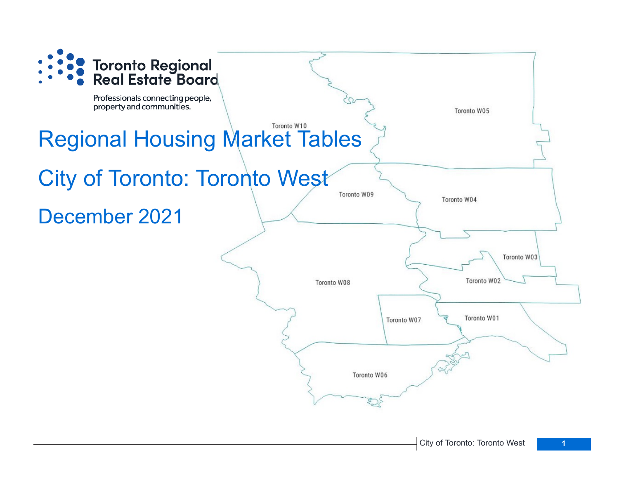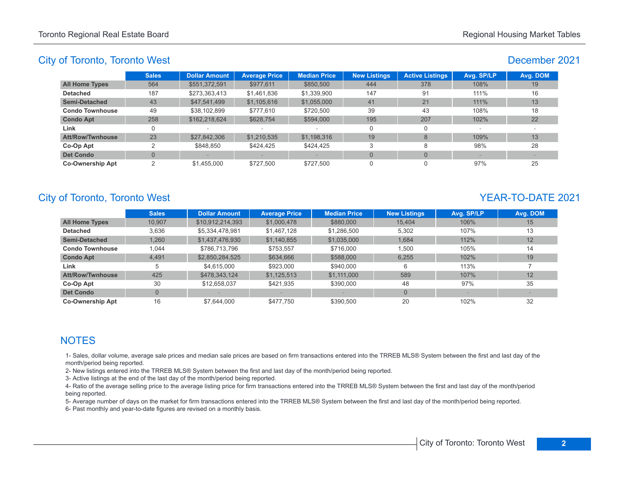## December 2021

|                         | <b>Sales</b> | <b>Dollar Amount</b> | <b>Average Price</b> | <b>Median Price</b> | <b>New Listings</b> | <b>Active Listings</b> | Avg. SP/LP | Avg. DOM |
|-------------------------|--------------|----------------------|----------------------|---------------------|---------------------|------------------------|------------|----------|
| <b>All Home Types</b>   | 564          | \$551,372,591        | \$977,611            | \$850,500           | 444                 | 378                    | 108%       | 19       |
| <b>Detached</b>         | 187          | \$273,363,413        | \$1,461,836          | \$1,339,900         | 147                 | 91                     | 111%       | 16       |
| <b>Semi-Detached</b>    | 43           | \$47,541,499         | \$1,105,616          | \$1,055,000         | 41                  | 21                     | $111\%$    | 13       |
| <b>Condo Townhouse</b>  | 49           | \$38,102,899         | \$777.610            | \$720,500           | 39                  | 43                     | 108%       | 18       |
| <b>Condo Apt</b>        | 258          | \$162,218,624        | \$628,754            | \$594,000           | 195                 | 207                    | 102%       | 22       |
| Link                    |              |                      |                      |                     |                     | 0                      |            |          |
| <b>Att/Row/Twnhouse</b> | 23           | \$27,842,306         | \$1,210,535          | \$1,198,316         | 19                  | 8                      | 109%       | 13       |
| Co-Op Apt               | ◠            | \$848.850            | \$424.425            | \$424.425           |                     | 8                      | 98%        | 28       |
| <b>Det Condo</b>        |              |                      |                      |                     | $\Omega$            | $\Omega$               |            |          |
| <b>Co-Ownership Apt</b> | ົ            | \$1,455,000          | \$727.500            | \$727,500           |                     |                        | 97%        | 25       |

# City of Toronto, Toronto West **YEAR-TO-DATE** 2021

|                         | <b>Sales</b>   | <b>Dollar Amount</b> | <b>Average Price</b> | <b>Median Price</b> | <b>New Listings</b> | Avg. SP/LP | Avg. DOM |
|-------------------------|----------------|----------------------|----------------------|---------------------|---------------------|------------|----------|
| <b>All Home Types</b>   | 10.907         | \$10,912,214,393     | \$1,000,478          | \$880,000           | 15.404              | 106%       | 15       |
| <b>Detached</b>         | 3,636          | \$5,334,478,981      | \$1,467,128          | \$1,286,500         | 5.302               | 107%       | 13       |
| <b>Semi-Detached</b>    | 1.260          | \$1,437,476,930      | \$1,140,855          | \$1,035,000         | 1.684               | 112%       | 12       |
| <b>Condo Townhouse</b>  | 1.044          | \$786.713.796        | \$753,557            | \$716,000           | 1.500               | 105%       | 14       |
| <b>Condo Apt</b>        | 4.491          | \$2,850,284,525      | \$634,666            | \$588,000           | 6.255               | 102%       | 19       |
| Link                    | 5              | \$4.615.000          | \$923,000            | \$940,000           | 6                   | 113%       |          |
| <b>Att/Row/Twnhouse</b> | 425            | \$478,343,124        | \$1,125,513          | \$1.111.000         | 589                 | 107%       | 12       |
| Co-Op Apt               | 30             | \$12.658.037         | \$421.935            | \$390,000           | 48                  | 97%        | 35       |
| <b>Det Condo</b>        | $\overline{0}$ |                      |                      |                     | $\Omega$            |            |          |
| <b>Co-Ownership Apt</b> | 16             | \$7.644.000          | \$477.750            | \$390.500           | 20                  | 102%       | 32       |

## **NOTES**

1- Sales, dollar volume, average sale prices and median sale prices are based on firm transactions entered into the TRREB MLS® System between the first and last day of the month/period being reported.

2- New listings entered into the TRREB MLS® System between the first and last day of the month/period being reported.

3- Active listings at the end of the last day of the month/period being reported.

4- Ratio of the average selling price to the average listing price for firm transactions entered into the TRREB MLS® System between the first and last day of the month/period being reported.

5- Average number of days on the market for firm transactions entered into the TRREB MLS® System between the first and last day of the month/period being reported.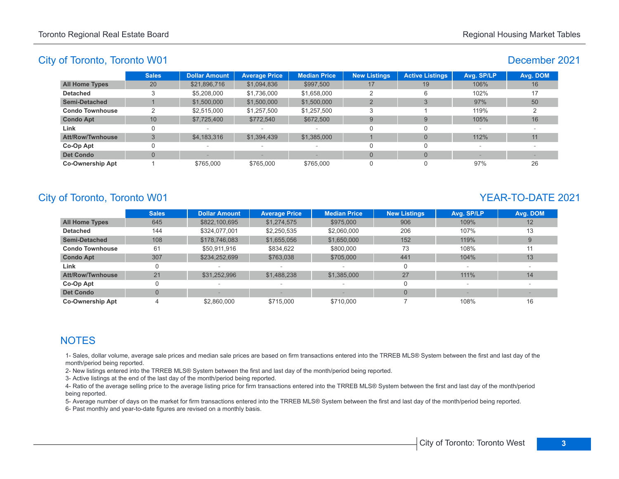#### December 2021

|                         | <b>Sales</b> | <b>Dollar Amount</b>     | <b>Average Price</b>     | <b>Median Price</b> | <b>New Listings</b> | <b>Active Listings</b> | Avg. SP/LP | Avg. DOM |
|-------------------------|--------------|--------------------------|--------------------------|---------------------|---------------------|------------------------|------------|----------|
| <b>All Home Types</b>   | 20           | \$21,896,716             | \$1,094,836              | \$997,500           | 17                  | 19                     | 106%       | 16       |
| <b>Detached</b>         | ◠            | \$5,208,000              | \$1,736,000              | \$1,658,000         |                     |                        | 102%       | 17       |
| Semi-Detached           |              | \$1,500,000              | \$1,500,000              | \$1,500,000         |                     |                        | 97%        | 50       |
| <b>Condo Townhouse</b>  |              | \$2,515,000              | \$1,257,500              | \$1,257,500         | 3                   |                        | 119%       |          |
| <b>Condo Apt</b>        | 10           | \$7,725,400              | \$772.540                | \$672,500           | 9                   |                        | 105%       | 16       |
| Link                    |              | $\sim$                   | $\overline{\phantom{a}}$ |                     |                     |                        | $\sim$     |          |
| <b>Att/Row/Twnhouse</b> |              | \$4,183,316              | \$1,394,439              | \$1,385,000         |                     |                        | 112%       | 11       |
| Co-Op Apt               |              | $\overline{\phantom{a}}$ | $\overline{\phantom{a}}$ |                     |                     |                        |            |          |
| <b>Det Condo</b>        |              |                          |                          |                     | $\Omega$            |                        |            |          |
| <b>Co-Ownership Apt</b> |              | \$765,000                | \$765,000                | \$765,000           | 0                   |                        | 97%        | 26       |

## City of Toronto, Toronto W01 YEAR-TO-DATE 2021

|                         | <b>Sales</b> | <b>Dollar Amount</b> | <b>Average Price</b>     | <b>Median Price</b>      | <b>New Listings</b> | Avg. SP/LP | Avg. DOM |
|-------------------------|--------------|----------------------|--------------------------|--------------------------|---------------------|------------|----------|
| <b>All Home Types</b>   | 645          | \$822,100,695        | \$1,274,575              | \$975,000                | 906                 | 109%       | 12       |
| <b>Detached</b>         | 144          | \$324.077.001        | \$2,250,535              | \$2,060,000              | 206                 | 107%       | 13       |
| <b>Semi-Detached</b>    | 108          | \$178,746,083        | \$1,655,056              | \$1,650,000              | 152                 | 119%       | 9        |
| <b>Condo Townhouse</b>  | 61           | \$50.911.916         | \$834.622                | \$800,000                | 73                  | 108%       | 11       |
| <b>Condo Apt</b>        | 307          | \$234,252,699        | \$763,038                | \$705,000                | 441                 | 104%       | 13       |
| Link                    |              |                      |                          |                          |                     |            |          |
| <b>Att/Row/Twnhouse</b> | 21           | \$31,252,996         | \$1,488,238              | \$1,385,000              | 27                  | 111%       | 14       |
| Co-Op Apt               | 0            |                      | $\overline{\phantom{a}}$ | $\overline{\phantom{a}}$ |                     | $\sim$     |          |
| <b>Det Condo</b>        | $\mathbf{0}$ |                      |                          |                          | $\Omega$            |            |          |
| <b>Co-Ownership Apt</b> |              | \$2.860,000          | \$715,000                | \$710,000                |                     | 108%       | 16       |

## **NOTES**

1- Sales, dollar volume, average sale prices and median sale prices are based on firm transactions entered into the TRREB MLS® System between the first and last day of the month/period being reported.

2- New listings entered into the TRREB MLS® System between the first and last day of the month/period being reported.

3- Active listings at the end of the last day of the month/period being reported.

4- Ratio of the average selling price to the average listing price for firm transactions entered into the TRREB MLS® System between the first and last day of the month/period being reported.

5- Average number of days on the market for firm transactions entered into the TRREB MLS® System between the first and last day of the month/period being reported.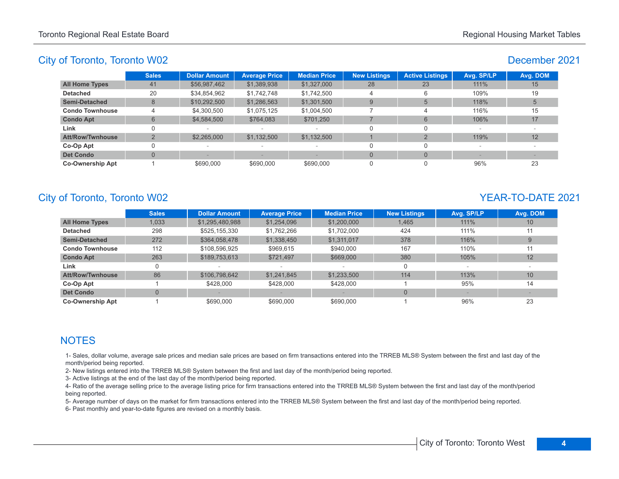#### December 2021

|                         | <b>Sales</b> | <b>Dollar Amount</b> | <b>Average Price</b> | <b>Median Price</b>             | <b>New Listings</b> | <b>Active Listings</b> | Avg. SP/LP | Avg. DOM |
|-------------------------|--------------|----------------------|----------------------|---------------------------------|---------------------|------------------------|------------|----------|
| <b>All Home Types</b>   | 41           | \$56,987,462         | \$1,389,938          | \$1,327,000                     | 28                  | 23                     | 111%       | 15       |
| <b>Detached</b>         | 20           | \$34,854,962         | \$1,742,748          | \$1,742,500                     |                     |                        | 109%       | 19       |
| <b>Semi-Detached</b>    | 8            | \$10,292,500         | \$1,286,563          | \$1,301,500                     | 9                   |                        | 118%       |          |
| <b>Condo Townhouse</b>  |              | \$4,300,500          | \$1,075,125          | \$1,004,500                     |                     | 4                      | 116%       | 15       |
| <b>Condo Apt</b>        | 6            | \$4,584,500          | \$764,083            | \$701.250                       |                     | 6                      | 106%       | 17       |
| Link                    |              |                      |                      | $\hspace{0.1mm}-\hspace{0.1mm}$ | $\Omega$            |                        | $\sim$     |          |
| <b>Att/Row/Twnhouse</b> | ⌒            | \$2,265,000          | \$1,132,500          | \$1,132,500                     |                     |                        | 119%       | 12       |
| Co-Op Apt               |              |                      | $\,$                 | $\overline{\phantom{a}}$        |                     |                        |            |          |
| <b>Det Condo</b>        | $\Omega$     |                      |                      |                                 | $\Omega$            |                        |            |          |
| <b>Co-Ownership Apt</b> |              | \$690,000            | \$690,000            | \$690,000                       | 0                   |                        | 96%        | 23       |

# City of Toronto, Toronto W02 YEAR-TO-DATE 2021

|                         | <b>Sales</b> | <b>Dollar Amount</b> | <b>Average Price</b> | <b>Median Price</b> | <b>New Listings</b> | Avg. SP/LP | Avg. DOM |
|-------------------------|--------------|----------------------|----------------------|---------------------|---------------------|------------|----------|
| <b>All Home Types</b>   | 1,033        | \$1,295,480,988      | \$1,254,096          | \$1,200,000         | 1.465               | 111%       | 10       |
| <b>Detached</b>         | 298          | \$525,155,330        | \$1,762,266          | \$1,702,000         | 424                 | 111%       | 11       |
| <b>Semi-Detached</b>    | 272          | \$364,058,478        | \$1,338,450          | \$1,311,017         | 378                 | 116%       | 9        |
| <b>Condo Townhouse</b>  | 112          | \$108,596,925        | \$969,615            | \$940,000           | 167                 | 110%       | 11       |
| <b>Condo Apt</b>        | 263          | \$189,753,613        | \$721,497            | \$669,000           | 380                 | 105%       | 12       |
| Link                    |              |                      |                      |                     | $\Omega$            |            |          |
| <b>Att/Row/Twnhouse</b> | 86           | \$106,798,642        | \$1.241.845          | \$1,233,500         | 114                 | 113%       | 10       |
| Co-Op Apt               |              | \$428,000            | \$428,000            | \$428,000           |                     | 95%        | 14       |
| <b>Det Condo</b>        | 0            |                      |                      |                     | $\Omega$            |            |          |
| <b>Co-Ownership Apt</b> |              | \$690,000            | \$690,000            | \$690,000           |                     | 96%        | 23       |

## **NOTES**

1- Sales, dollar volume, average sale prices and median sale prices are based on firm transactions entered into the TRREB MLS® System between the first and last day of the month/period being reported.

2- New listings entered into the TRREB MLS® System between the first and last day of the month/period being reported.

3- Active listings at the end of the last day of the month/period being reported.

4- Ratio of the average selling price to the average listing price for firm transactions entered into the TRREB MLS® System between the first and last day of the month/period being reported.

5- Average number of days on the market for firm transactions entered into the TRREB MLS® System between the first and last day of the month/period being reported.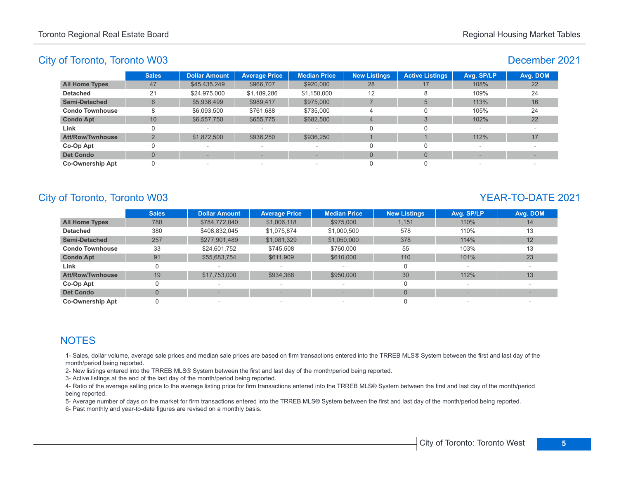#### December 2021

|                         | <b>Sales</b> | <b>Dollar Amount</b>     | <b>Average Price</b>     | <b>Median Price</b>             | <b>New Listings</b> | <b>Active Listings</b> | Avg. SP/LP | Avg. DOM |
|-------------------------|--------------|--------------------------|--------------------------|---------------------------------|---------------------|------------------------|------------|----------|
| <b>All Home Types</b>   | 47           | \$45,435,249             | \$966,707                | \$920,000                       | 28                  | 17                     | 108%       | 22       |
| <b>Detached</b>         | 21           | \$24,975,000             | \$1,189,286              | \$1,150,000                     | 12                  |                        | 109%       | 24       |
| <b>Semi-Detached</b>    | 6            | \$5,936,499              | \$989,417                | \$975,000                       |                     | $\overline{5}$         | 113%       | 16       |
| <b>Condo Townhouse</b>  | 8            | \$6,093,500              | \$761,688                | \$735,000                       | 4                   |                        | 105%       | 24       |
| <b>Condo Apt</b>        | 10           | \$6,557,750              | \$655,775                | \$682,500                       | $\overline{4}$      |                        | 102%       | 22       |
| Link                    |              |                          | $\,$                     | $\hspace{0.1mm}-\hspace{0.1mm}$ | $\Omega$            |                        |            |          |
| <b>Att/Row/Twnhouse</b> | $\Omega$     | \$1,872,500              | \$936,250                | \$936,250                       |                     |                        | 112%       | 17       |
| Co-Op Apt               |              | $\sim$                   | $\sim$                   | $\overline{\phantom{a}}$        |                     |                        | $\sim$     |          |
| <b>Det Condo</b>        |              |                          |                          |                                 |                     |                        |            |          |
| <b>Co-Ownership Apt</b> |              | $\overline{\phantom{a}}$ | $\overline{\phantom{a}}$ | $\sim$                          |                     |                        |            |          |

# City of Toronto, Toronto W03 YEAR-TO-DATE 2021

|                         | <b>Sales</b> | <b>Dollar Amount</b> | <b>Average Price</b>     | <b>Median Price</b> | <b>New Listings</b> | Avg. SP/LP | Avg. DOM |
|-------------------------|--------------|----------------------|--------------------------|---------------------|---------------------|------------|----------|
| <b>All Home Types</b>   | 780          | \$784,772,040        | \$1,006,118              | \$975,000           | 1,151               | 110%       | 14       |
| <b>Detached</b>         | 380          | \$408,832,045        | \$1.075.874              | \$1,000,500         | 578                 | 110%       | 13       |
| <b>Semi-Detached</b>    | 257          | \$277,901,489        | \$1,081,329              | \$1,050,000         | 378                 | 114%       | 12       |
| <b>Condo Townhouse</b>  | 33           | \$24,601,752         | \$745.508                | \$760,000           | 55                  | 103%       | 13       |
| <b>Condo Apt</b>        | 91           | \$55,683,754         | \$611,909                | \$610,000           | 110                 | 101%       | 23       |
| Link                    | 0            |                      |                          |                     | 0                   |            |          |
| <b>Att/Row/Twnhouse</b> | 19           | \$17,753,000         | \$934,368                | \$950,000           | 30                  | 112%       | 13       |
| Co-Op Apt               |              |                      |                          |                     | 0                   |            |          |
| <b>Det Condo</b>        | $\Omega$     |                      |                          |                     | $\Omega$            |            |          |
| <b>Co-Ownership Apt</b> |              |                      | $\overline{\phantom{a}}$ |                     |                     |            |          |

## **NOTES**

1- Sales, dollar volume, average sale prices and median sale prices are based on firm transactions entered into the TRREB MLS® System between the first and last day of the month/period being reported.

2- New listings entered into the TRREB MLS® System between the first and last day of the month/period being reported.

3- Active listings at the end of the last day of the month/period being reported.

4- Ratio of the average selling price to the average listing price for firm transactions entered into the TRREB MLS® System between the first and last day of the month/period being reported.

5- Average number of days on the market for firm transactions entered into the TRREB MLS® System between the first and last day of the month/period being reported.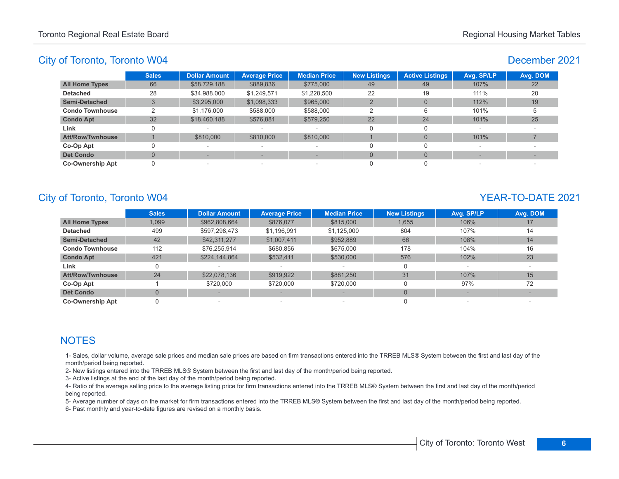## December 2021

|                         | <b>Sales</b> | <b>Dollar Amount</b> | <b>Average Price</b>            | <b>Median Price</b>      | <b>New Listings</b> | <b>Active Listings</b> | Avg. SP/LP | Avg. DOM |
|-------------------------|--------------|----------------------|---------------------------------|--------------------------|---------------------|------------------------|------------|----------|
| <b>All Home Types</b>   | 66           | \$58,729,188         | \$889,836                       | \$775,000                | 49                  | 49                     | 107%       | 22       |
| <b>Detached</b>         | 28           | \$34,988,000         | \$1,249,571                     | \$1,228,500              | 22                  | 19                     | 111%       | 20       |
| <b>Semi-Detached</b>    | 3            | \$3,295,000          | \$1,098,333                     | \$965,000                |                     | $\Omega$               | 112%       | 19       |
| <b>Condo Townhouse</b>  |              | \$1,176,000          | \$588,000                       | \$588,000                | っ                   | 6                      | 101%       |          |
| <b>Condo Apt</b>        | 32           | \$18,460,188         | \$576,881                       | \$579,250                | 22                  | 24                     | 101%       | 25       |
| Link                    |              |                      |                                 | $\overline{\phantom{a}}$ |                     | $\Omega$               |            |          |
| <b>Att/Row/Twnhouse</b> |              | \$810,000            | \$810,000                       | \$810,000                |                     | $\Omega$               | 101%       |          |
| Co-Op Apt               |              | $\sim$               | $\hspace{0.1mm}-\hspace{0.1mm}$ | $\overline{\phantom{a}}$ |                     |                        |            |          |
| <b>Det Condo</b>        |              |                      |                                 |                          |                     | $\Omega$               |            |          |
| <b>Co-Ownership Apt</b> |              |                      | $\sim$                          | $\sim$                   |                     |                        |            |          |

# City of Toronto, Toronto W04 YEAR-TO-DATE 2021

|                         | <b>Sales</b>   | <b>Dollar Amount</b> | <b>Average Price</b> | <b>Median Price</b> | <b>New Listings</b> | Avg. SP/LP | Avg. DOM |
|-------------------------|----------------|----------------------|----------------------|---------------------|---------------------|------------|----------|
| <b>All Home Types</b>   | 1,099          | \$962,808,664        | \$876,077            | \$815,000           | 1.655               | 106%       | 17       |
| <b>Detached</b>         | 499            | \$597,298,473        | \$1,196,991          | \$1,125,000         | 804                 | 107%       | 14       |
| <b>Semi-Detached</b>    | 42             | \$42,311,277         | \$1,007,411          | \$952,889           | 66                  | 108%       | 14       |
| <b>Condo Townhouse</b>  | 112            | \$76,255,914         | \$680,856            | \$675,000           | 178                 | 104%       | 16       |
| <b>Condo Apt</b>        | 421            | \$224,144,864        | \$532,411            | \$530,000           | 576                 | 102%       | 23       |
| Link                    | 0              |                      |                      |                     |                     |            |          |
| <b>Att/Row/Twnhouse</b> | 24             | \$22,078,136         | \$919,922            | \$881.250           | 31                  | 107%       | 15       |
| Co-Op Apt               |                | \$720,000            | \$720,000            | \$720,000           | $\Omega$            | 97%        | 72       |
| <b>Det Condo</b>        | $\overline{0}$ |                      |                      |                     | $\Omega$            |            |          |
| <b>Co-Ownership Apt</b> | 0              |                      | -                    |                     |                     |            |          |

## **NOTES**

1- Sales, dollar volume, average sale prices and median sale prices are based on firm transactions entered into the TRREB MLS® System between the first and last day of the month/period being reported.

2- New listings entered into the TRREB MLS® System between the first and last day of the month/period being reported.

3- Active listings at the end of the last day of the month/period being reported.

4- Ratio of the average selling price to the average listing price for firm transactions entered into the TRREB MLS® System between the first and last day of the month/period being reported.

5- Average number of days on the market for firm transactions entered into the TRREB MLS® System between the first and last day of the month/period being reported.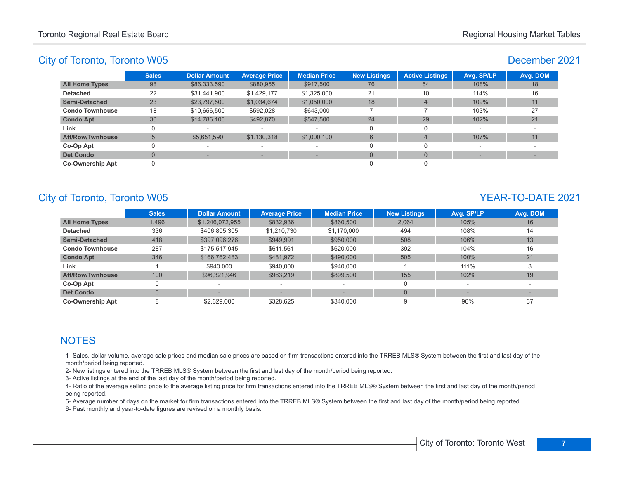### December 2021

|                         | <b>Sales</b> | <b>Dollar Amount</b> | <b>Average Price</b>            | <b>Median Price</b>      | <b>New Listings</b> | <b>Active Listings</b> | Avg. SP/LP | Avg. DOM |
|-------------------------|--------------|----------------------|---------------------------------|--------------------------|---------------------|------------------------|------------|----------|
| <b>All Home Types</b>   | 98           | \$86,333,590         | \$880,955                       | \$917,500                | 76                  | 54                     | 108%       | 18       |
| <b>Detached</b>         | 22           | \$31,441,900         | \$1,429,177                     | \$1,325,000              | 21                  | 10                     | 114%       | 16       |
| <b>Semi-Detached</b>    | 23           | \$23,797,500         | \$1,034,674                     | \$1,050,000              | 18                  | $\overline{4}$         | 109%       | 11       |
| <b>Condo Townhouse</b>  | 18           | \$10,656,500         | \$592,028                       | \$643,000                |                     |                        | 103%       | 27       |
| <b>Condo Apt</b>        | 30           | \$14,786,100         | \$492,870                       | \$547,500                | 24                  | 29                     | 102%       | 21       |
| Link                    |              |                      | $\sim$                          | $\overline{\phantom{a}}$ |                     |                        | $\sim$     |          |
| Att/Row/Twnhouse        | 5            | \$5,651,590          | \$1,130,318                     | \$1,000,100              | 6                   | 4                      | 107%       | 11       |
| Co-Op Apt               |              | $\sim$               | $\overline{\phantom{a}}$        | $\overline{\phantom{a}}$ |                     |                        |            |          |
| <b>Det Condo</b>        |              |                      |                                 |                          |                     | $\Omega$               |            |          |
| <b>Co-Ownership Apt</b> |              | $\sim$               | $\hspace{0.1mm}-\hspace{0.1mm}$ | $\overline{\phantom{a}}$ |                     |                        |            |          |

# City of Toronto, Toronto W05 YEAR-TO-DATE 2021

|                         | <b>Sales</b>   | <b>Dollar Amount</b> | <b>Average Price</b> | <b>Median Price</b> | <b>New Listings</b> | Avg. SP/LP | Avg. DOM |
|-------------------------|----------------|----------------------|----------------------|---------------------|---------------------|------------|----------|
| <b>All Home Types</b>   | 1,496          | \$1,246,072,955      | \$832,936            | \$860,500           | 2.064               | 105%       | 16       |
| <b>Detached</b>         | 336            | \$406,805,305        | \$1,210,730          | \$1,170,000         | 494                 | 108%       | 14       |
| <b>Semi-Detached</b>    | 418            | \$397,096,276        | \$949,991            | \$950,000           | 508                 | 106%       | 13       |
| <b>Condo Townhouse</b>  | 287            | \$175,517,945        | \$611.561            | \$620,000           | 392                 | 104%       | 16       |
| <b>Condo Apt</b>        | 346            | \$166,762,483        | \$481,972            | \$490,000           | 505                 | 100%       | 21       |
| Link                    |                | \$940,000            | \$940,000            | \$940,000           |                     | 111%       |          |
| <b>Att/Row/Twnhouse</b> | 100            | \$96,321,946         | \$963,219            | \$899,500           | 155                 | 102%       | 19       |
| Co-Op Apt               | 0              |                      | -                    |                     |                     |            |          |
| <b>Det Condo</b>        | $\overline{0}$ |                      |                      |                     | $\Omega$            |            |          |
| <b>Co-Ownership Apt</b> | 8              | \$2,629,000          | \$328.625            | \$340,000           | 9                   | 96%        | 37       |

## **NOTES**

1- Sales, dollar volume, average sale prices and median sale prices are based on firm transactions entered into the TRREB MLS® System between the first and last day of the month/period being reported.

2- New listings entered into the TRREB MLS® System between the first and last day of the month/period being reported.

3- Active listings at the end of the last day of the month/period being reported.

4- Ratio of the average selling price to the average listing price for firm transactions entered into the TRREB MLS® System between the first and last day of the month/period being reported.

5- Average number of days on the market for firm transactions entered into the TRREB MLS® System between the first and last day of the month/period being reported.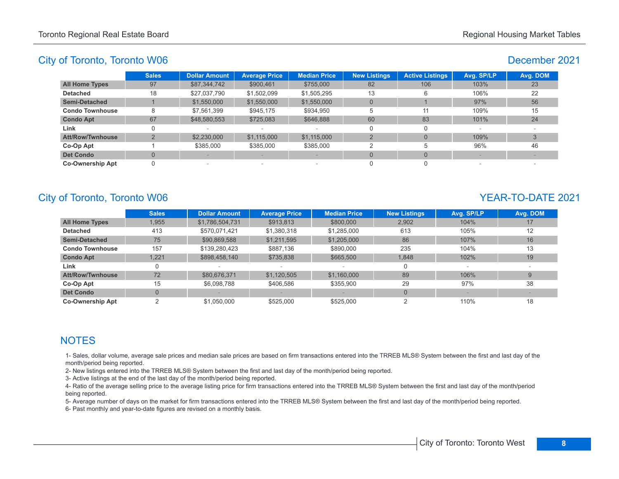### December 2021

|                         | <b>Sales</b>             | Dollar Amount   | <b>Average Price</b> | <b>Median Price</b>      | <b>New Listings</b> | <b>Active Listings</b> | Avg. SP/LP | Avg. DOM |
|-------------------------|--------------------------|-----------------|----------------------|--------------------------|---------------------|------------------------|------------|----------|
| <b>All Home Types</b>   | 97                       | \$87,344,742    | \$900,461            | \$755,000                | 82                  | 106                    | 103%       | 23       |
| <b>Detached</b>         | 18                       | \$27,037,790    | \$1,502,099          | \$1,505,295              | 13                  | 6                      | 106%       | 22       |
| <b>Semi-Detached</b>    |                          | \$1,550,000     | \$1,550,000          | \$1,550,000              | $\Omega$            |                        | 97%        | 56       |
| <b>Condo Townhouse</b>  | 8                        | \$7.561.399     | \$945,175            | \$934,950                | 5                   | 11                     | 109%       | 15       |
| <b>Condo Apt</b>        | 67                       | \$48,580,553    | \$725,083            | \$646.888                | 60                  | 83                     | 101%       | 24       |
| Link                    |                          |                 |                      |                          |                     |                        |            |          |
| <b>Att/Row/Twnhouse</b> | $\overline{\phantom{0}}$ | \$2,230,000     | \$1,115,000          | \$1,115,000              |                     | $\Omega$               | 109%       |          |
| Co-Op Apt               |                          | \$385,000       | \$385,000            | \$385,000                |                     | 5                      | 96%        | 46       |
| <b>Det Condo</b>        |                          |                 |                      |                          | $\Omega$            | $\Omega$               |            |          |
| <b>Co-Ownership Apt</b> | ი                        | $\qquad \qquad$ | -                    | $\overline{\phantom{a}}$ |                     |                        |            |          |

# City of Toronto, Toronto W06 YEAR-TO-DATE 2021

|                         | <b>Sales</b>   | <b>Dollar Amount</b> | <b>Average Price</b> | <b>Median Price</b> | <b>New Listings</b> | Avg. SP/LP | Avg. DOM |
|-------------------------|----------------|----------------------|----------------------|---------------------|---------------------|------------|----------|
| <b>All Home Types</b>   | 1,955          | \$1,786,504,731      | \$913.813            | \$800,000           | 2.902               | 104%       | 17       |
| <b>Detached</b>         | 413            | \$570,071,421        | \$1,380,318          | \$1,285,000         | 613                 | 105%       | 12       |
| <b>Semi-Detached</b>    | 75             | \$90,869,588         | \$1,211,595          | \$1,205,000         | 86                  | 107%       | 16       |
| <b>Condo Townhouse</b>  | 157            | \$139,280,423        | \$887.136            | \$890,000           | 235                 | 104%       | 13       |
| <b>Condo Apt</b>        | 1,221          | \$898,458,140        | \$735,838            | \$665,500           | 1,848               | 102%       | 19       |
| Link                    | 0              |                      |                      |                     | 0                   |            |          |
| <b>Att/Row/Twnhouse</b> | 72             | \$80,676,371         | \$1,120,505          | \$1,160,000         | 89                  | 106%       | 9        |
| Co-Op Apt               | 15             | \$6,098,788          | \$406.586            | \$355,900           | 29                  | 97%        | 38       |
| <b>Det Condo</b>        | $\overline{0}$ |                      |                      |                     | $\Omega$            |            |          |
| <b>Co-Ownership Apt</b> | ົ              | \$1.050.000          | \$525,000            | \$525,000           |                     | 110%       | 18       |

## **NOTES**

1- Sales, dollar volume, average sale prices and median sale prices are based on firm transactions entered into the TRREB MLS® System between the first and last day of the month/period being reported.

2- New listings entered into the TRREB MLS® System between the first and last day of the month/period being reported.

3- Active listings at the end of the last day of the month/period being reported.

4- Ratio of the average selling price to the average listing price for firm transactions entered into the TRREB MLS® System between the first and last day of the month/period being reported.

5- Average number of days on the market for firm transactions entered into the TRREB MLS® System between the first and last day of the month/period being reported.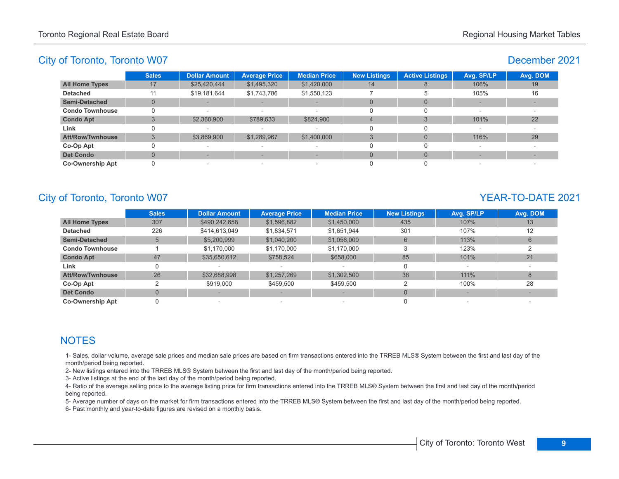#### December 2021

|                         | <b>Sales</b> | <b>Dollar Amount</b>     | <b>Average Price</b>            | <b>Median Price</b>      | <b>New Listings</b> | <b>Active Listings</b> | Avg. SP/LP | Avg. DOM |
|-------------------------|--------------|--------------------------|---------------------------------|--------------------------|---------------------|------------------------|------------|----------|
| <b>All Home Types</b>   | 17           | \$25,420,444             | \$1,495,320                     | \$1,420,000              | 14                  |                        | 106%       | 19       |
| <b>Detached</b>         |              | \$19,181,644             | \$1,743,786                     | \$1,550,123              |                     |                        | 105%       | 16       |
| <b>Semi-Detached</b>    |              |                          |                                 | $\sim$                   |                     |                        |            |          |
| <b>Condo Townhouse</b>  |              | $\sim$                   |                                 | $\overline{\phantom{a}}$ |                     |                        |            |          |
| <b>Condo Apt</b>        |              | \$2,368,900              | \$789,633                       | \$824,900                | $\overline{4}$      |                        | 101%       | 22       |
| Link                    |              | $\overline{\phantom{a}}$ |                                 | $\overline{\phantom{a}}$ | -0                  |                        |            |          |
| <b>Att/Row/Twnhouse</b> |              | \$3,869,900              | \$1,289,967                     | \$1,400,000              |                     |                        | 116%       | 29       |
| Co-Op Apt               |              | $\sim$                   | $\hspace{0.1mm}-\hspace{0.1mm}$ | $\overline{\phantom{a}}$ |                     |                        |            |          |
| <b>Det Condo</b>        |              |                          |                                 |                          | $\Omega$            |                        |            |          |
| <b>Co-Ownership Apt</b> |              | $\overline{\phantom{a}}$ | $\sim$                          | $\overline{\phantom{a}}$ |                     |                        |            |          |

# City of Toronto, Toronto W07 News 2021

|                         | <b>Sales</b>   | <b>Dollar Amount</b> | <b>Average Price</b> | <b>Median Price</b> | <b>New Listings</b> | Avg. SP/LP | Avg. DOM |
|-------------------------|----------------|----------------------|----------------------|---------------------|---------------------|------------|----------|
| <b>All Home Types</b>   | 307            | \$490,242,658        | \$1,596,882          | \$1,450,000         | 435                 | 107%       | 13       |
| <b>Detached</b>         | 226            | \$414,613,049        | \$1,834,571          | \$1,651,944         | 301                 | 107%       | 12       |
| <b>Semi-Detached</b>    | 5              | \$5,200,999          | \$1,040,200          | \$1,056,000         | $6^{\circ}$         | 113%       | 6        |
| <b>Condo Townhouse</b>  |                | \$1,170,000          | \$1,170,000          | \$1,170,000         | 3                   | 123%       |          |
| <b>Condo Apt</b>        | 47             | \$35,650,612         | \$758,524            | \$658,000           | 85                  | 101%       | 21       |
| Link                    | 0              |                      |                      |                     |                     |            |          |
| <b>Att/Row/Twnhouse</b> | 26             | \$32,688,998         | \$1,257,269          | \$1,302,500         | 38                  | 111%       | 8        |
| Co-Op Apt               | ◠              | \$919,000            | \$459,500            | \$459,500           |                     | 100%       | 28       |
| <b>Det Condo</b>        | $\overline{0}$ |                      |                      |                     | $\Omega$            |            |          |
| <b>Co-Ownership Apt</b> | 0              |                      |                      |                     |                     |            |          |

## **NOTES**

1- Sales, dollar volume, average sale prices and median sale prices are based on firm transactions entered into the TRREB MLS® System between the first and last day of the month/period being reported.

2- New listings entered into the TRREB MLS® System between the first and last day of the month/period being reported.

3- Active listings at the end of the last day of the month/period being reported.

4- Ratio of the average selling price to the average listing price for firm transactions entered into the TRREB MLS® System between the first and last day of the month/period being reported.

5- Average number of days on the market for firm transactions entered into the TRREB MLS® System between the first and last day of the month/period being reported.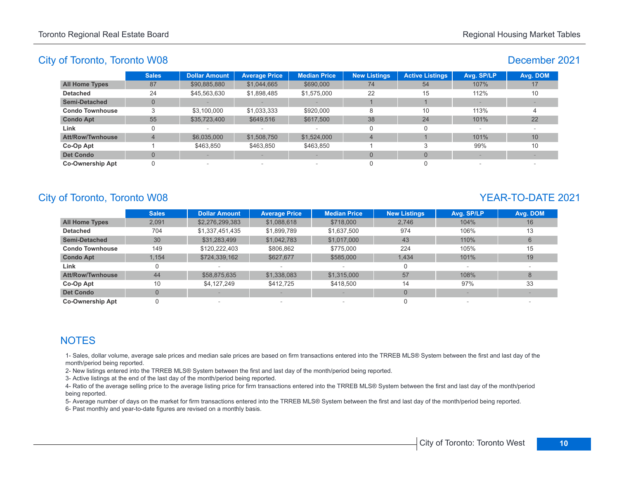## December 2021

|                         | <b>Sales</b> | <b>Dollar Amount</b> | <b>Average Price</b>            | <b>Median Price</b>      | <b>New Listings</b> | <b>Active Listings</b> | Avg. SP/LP               | Avg. DOM        |
|-------------------------|--------------|----------------------|---------------------------------|--------------------------|---------------------|------------------------|--------------------------|-----------------|
| <b>All Home Types</b>   | 87           | \$90,885,880         | \$1,044,665                     | \$690,000                | 74                  | 54                     | 107%                     | 17              |
| <b>Detached</b>         | 24           | \$45,563,630         | \$1,898,485                     | \$1,575,000              | 22                  | 15                     | 112%                     | 10              |
| <b>Semi-Detached</b>    | $\Omega$     |                      |                                 |                          |                     |                        |                          |                 |
| <b>Condo Townhouse</b>  |              | \$3,100,000          | \$1,033,333                     | \$920,000                | 8                   | 10                     | 113%                     |                 |
| <b>Condo Apt</b>        | 55           | \$35,723,400         | \$649,516                       | \$617,500                | 38                  | 24                     | 101%                     | 22              |
| Link                    |              |                      |                                 | $\overline{\phantom{a}}$ |                     | 0                      | $\overline{\phantom{a}}$ |                 |
| <b>Att/Row/Twnhouse</b> |              | \$6,035,000          | \$1,508,750                     | \$1,524,000              | $\overline{4}$      |                        | 101%                     | 10 <sup>1</sup> |
| Co-Op Apt               |              | \$463.850            | \$463.850                       | \$463,850                |                     |                        | 99%                      | 10              |
| <b>Det Condo</b>        | $\Omega$     |                      |                                 |                          | $\Omega$            | $\Omega$               |                          |                 |
| <b>Co-Ownership Apt</b> |              |                      | $\hspace{0.1mm}-\hspace{0.1mm}$ | $\overline{\phantom{a}}$ |                     | 0                      |                          |                 |

# City of Toronto, Toronto W08 YEAR-TO-DATE 2021

|                         | <b>Sales</b>   | <b>Dollar Amount</b> | <b>Average Price</b>     | <b>Median Price</b> | <b>New Listings</b> | Avg. SP/LP | Avg. DOM |
|-------------------------|----------------|----------------------|--------------------------|---------------------|---------------------|------------|----------|
| <b>All Home Types</b>   | 2,091          | \$2,276,299,383      | \$1,088,618              | \$718,000           | 2,746               | 104%       | 16       |
| <b>Detached</b>         | 704            | \$1,337,451,435      | \$1,899,789              | \$1,637,500         | 974                 | 106%       | 13       |
| <b>Semi-Detached</b>    | 30             | \$31,283,499         | \$1,042,783              | \$1,017,000         | 43                  | 110%       | 6        |
| <b>Condo Townhouse</b>  | 149            | \$120,222,403        | \$806,862                | \$775,000           | 224                 | 105%       | 15       |
| <b>Condo Apt</b>        | 1,154          | \$724,339,162        | \$627,677                | \$585,000           | 1.434               | 101%       | 19       |
| Link                    | 0              |                      |                          |                     |                     |            |          |
| <b>Att/Row/Twnhouse</b> | 44             | \$58,875,635         | \$1,338,083              | \$1,315,000         | 57                  | 108%       | 8        |
| Co-Op Apt               | 10             | \$4,127,249          | \$412.725                | \$418,500           | 14                  | 97%        | 33       |
| <b>Det Condo</b>        | $\overline{0}$ |                      |                          |                     | $\Omega$            |            |          |
| <b>Co-Ownership Apt</b> |                |                      | $\overline{\phantom{a}}$ |                     |                     |            |          |

## **NOTES**

1- Sales, dollar volume, average sale prices and median sale prices are based on firm transactions entered into the TRREB MLS® System between the first and last day of the month/period being reported.

2- New listings entered into the TRREB MLS® System between the first and last day of the month/period being reported.

3- Active listings at the end of the last day of the month/period being reported.

4- Ratio of the average selling price to the average listing price for firm transactions entered into the TRREB MLS® System between the first and last day of the month/period being reported.

5- Average number of days on the market for firm transactions entered into the TRREB MLS® System between the first and last day of the month/period being reported.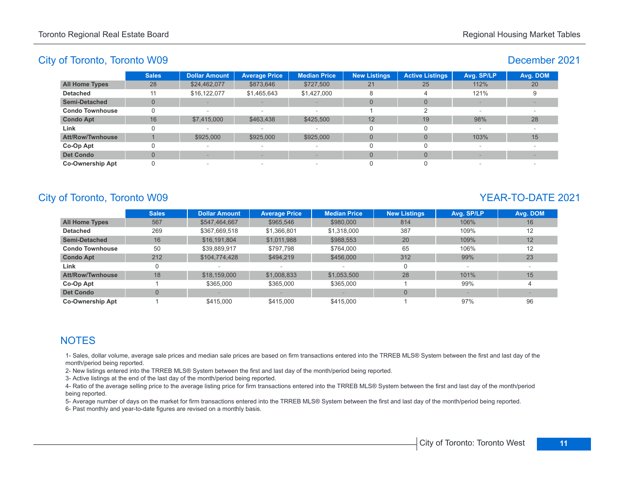## December 2021

|                         | <b>Sales</b> | <b>Dollar Amount</b> | <b>Average Price</b>            | <b>Median Price</b>      | <b>New Listings</b> | <b>Active Listings</b> | Avg. SP/LP | Avg. DOM |
|-------------------------|--------------|----------------------|---------------------------------|--------------------------|---------------------|------------------------|------------|----------|
| <b>All Home Types</b>   | 28           | \$24,462,077         | \$873,646                       | \$727,500                | 21                  | 25                     | 112%       | 20       |
| <b>Detached</b>         | 11           | \$16,122,077         | \$1,465,643                     | \$1,427,000              | 8                   | 4                      | 121%       |          |
| Semi-Detached           | 0            |                      |                                 | $\frac{1}{2}$            | $\Omega$            | $\Omega$               |            |          |
| <b>Condo Townhouse</b>  |              |                      |                                 | $\overline{\phantom{a}}$ |                     |                        |            |          |
| <b>Condo Apt</b>        | 16           | \$7,415,000          | \$463,438                       | \$425,500                | 12                  | 19                     | 98%        | 28       |
| Link                    |              | $\sim$               | $\sim$                          | $\overline{\phantom{a}}$ |                     |                        |            |          |
| Att/Row/Twnhouse        |              | \$925,000            | \$925,000                       | \$925,000                | $\Omega$            | $\Omega$               | 103%       | 15       |
| Co-Op Apt               |              | $\sim$               | $\hspace{0.1mm}-\hspace{0.1mm}$ | $\overline{\phantom{a}}$ |                     |                        | $\sim$     |          |
| <b>Det Condo</b>        |              |                      |                                 |                          |                     | $\Omega$               |            |          |
| <b>Co-Ownership Apt</b> |              | $\sim$               | $\sim$                          | $\overline{\phantom{a}}$ |                     |                        |            |          |

# City of Toronto, Toronto W09 YEAR-TO-DATE 2021

|                         | <b>Sales</b>   | <b>Dollar Amount</b> | <b>Average Price</b> | <b>Median Price</b> | <b>New Listings</b> | Avg. SP/LP | Avg. DOM |
|-------------------------|----------------|----------------------|----------------------|---------------------|---------------------|------------|----------|
| <b>All Home Types</b>   | 567            | \$547,464,667        | \$965,546            | \$980,000           | 814                 | 106%       | 16       |
| <b>Detached</b>         | 269            | \$367,669,518        | \$1,366,801          | \$1,318,000         | 387                 | 109%       | 12       |
| <b>Semi-Detached</b>    | 16             | \$16,191,804         | \$1,011,988          | \$988,553           | 20                  | 109%       | 12       |
| <b>Condo Townhouse</b>  | 50             | \$39,889,917         | \$797.798            | \$764,000           | 65                  | 106%       | 12       |
| <b>Condo Apt</b>        | 212            | \$104,774,428        | \$494.219            | \$456,000           | 312                 | 99%        | 23       |
| Link                    | 0              |                      |                      |                     |                     |            |          |
| <b>Att/Row/Twnhouse</b> | 18             | \$18,159,000         | \$1,008,833          | \$1,053,500         | 28                  | 101%       | 15       |
| Co-Op Apt               |                | \$365,000            | \$365,000            | \$365,000           |                     | 99%        | 4        |
| <b>Det Condo</b>        | $\overline{0}$ |                      |                      |                     |                     |            |          |
| <b>Co-Ownership Apt</b> |                | \$415,000            | \$415,000            | \$415,000           |                     | 97%        | 96       |

## **NOTES**

1- Sales, dollar volume, average sale prices and median sale prices are based on firm transactions entered into the TRREB MLS® System between the first and last day of the month/period being reported.

2- New listings entered into the TRREB MLS® System between the first and last day of the month/period being reported.

3- Active listings at the end of the last day of the month/period being reported.

4- Ratio of the average selling price to the average listing price for firm transactions entered into the TRREB MLS® System between the first and last day of the month/period being reported.

5- Average number of days on the market for firm transactions entered into the TRREB MLS® System between the first and last day of the month/period being reported.